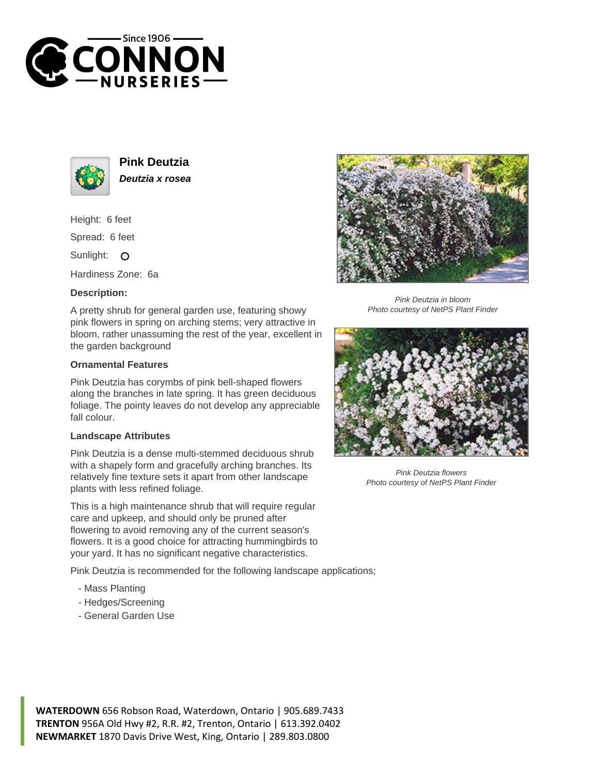



**Pink Deutzia Deutzia x rosea**

Height: 6 feet

Spread: 6 feet

Sunlight: O

Hardiness Zone: 6a

## **Description:**

A pretty shrub for general garden use, featuring showy pink flowers in spring on arching stems; very attractive in bloom, rather unassuming the rest of the year, excellent in the garden background

## **Ornamental Features**

Pink Deutzia has corymbs of pink bell-shaped flowers along the branches in late spring. It has green deciduous foliage. The pointy leaves do not develop any appreciable fall colour.

## **Landscape Attributes**

Pink Deutzia is a dense multi-stemmed deciduous shrub with a shapely form and gracefully arching branches. Its relatively fine texture sets it apart from other landscape plants with less refined foliage.

This is a high maintenance shrub that will require regular care and upkeep, and should only be pruned after flowering to avoid removing any of the current season's flowers. It is a good choice for attracting hummingbirds to your yard. It has no significant negative characteristics.

Pink Deutzia is recommended for the following landscape applications;

- Mass Planting
- Hedges/Screening
- General Garden Use



Pink Deutzia in bloom Photo courtesy of NetPS Plant Finder



Pink Deutzia flowers Photo courtesy of NetPS Plant Finder

**WATERDOWN** 656 Robson Road, Waterdown, Ontario | 905.689.7433 **TRENTON** 956A Old Hwy #2, R.R. #2, Trenton, Ontario | 613.392.0402 **NEWMARKET** 1870 Davis Drive West, King, Ontario | 289.803.0800